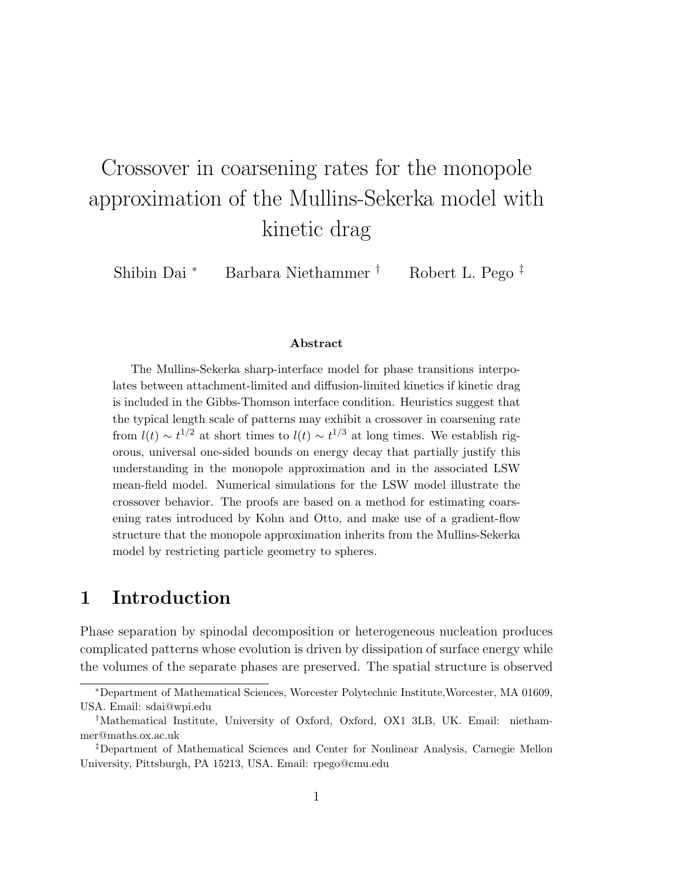# Crossover in coarsening rates for the monopole approximation of the Mullins-Sekerka model with kinetic drag

Shibin Dai <sup>∗</sup> Barbara Niethammer † Robert L. Pego ‡

#### Abstract

The Mullins-Sekerka sharp-interface model for phase transitions interpolates between attachment-limited and diffusion-limited kinetics if kinetic drag is included in the Gibbs-Thomson interface condition. Heuristics suggest that the typical length scale of patterns may exhibit a crossover in coarsening rate from  $l(t) \sim t^{1/2}$  at short times to  $l(t) \sim t^{1/3}$  at long times. We establish rigorous, universal one-sided bounds on energy decay that partially justify this understanding in the monopole approximation and in the associated LSW mean-field model. Numerical simulations for the LSW model illustrate the crossover behavior. The proofs are based on a method for estimating coarsening rates introduced by Kohn and Otto, and make use of a gradient-flow structure that the monopole approximation inherits from the Mullins-Sekerka model by restricting particle geometry to spheres.

## 1 Introduction

Phase separation by spinodal decomposition or heterogeneous nucleation produces complicated patterns whose evolution is driven by dissipation of surface energy while the volumes of the separate phases are preserved. The spatial structure is observed

<sup>∗</sup>Department of Mathematical Sciences, Worcester Polytechnic Institute,Worcester, MA 01609, USA. Email: sdai@wpi.edu

<sup>†</sup>Mathematical Institute, University of Oxford, Oxford, OX1 3LB, UK. Email: niethammer@maths.ox.ac.uk

<sup>‡</sup>Department of Mathematical Sciences and Center for Nonlinear Analysis, Carnegie Mellon University, Pittsburgh, PA 15213, USA. Email: rpego@cmu.edu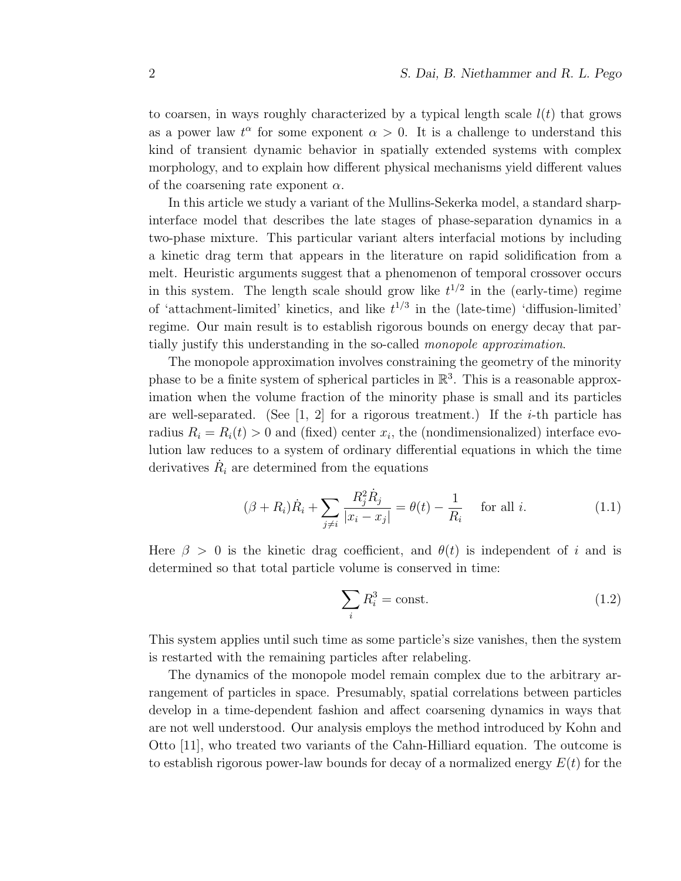to coarsen, in ways roughly characterized by a typical length scale  $l(t)$  that grows as a power law  $t^{\alpha}$  for some exponent  $\alpha > 0$ . It is a challenge to understand this kind of transient dynamic behavior in spatially extended systems with complex morphology, and to explain how different physical mechanisms yield different values of the coarsening rate exponent  $\alpha$ .

In this article we study a variant of the Mullins-Sekerka model, a standard sharpinterface model that describes the late stages of phase-separation dynamics in a two-phase mixture. This particular variant alters interfacial motions by including a kinetic drag term that appears in the literature on rapid solidification from a melt. Heuristic arguments suggest that a phenomenon of temporal crossover occurs in this system. The length scale should grow like  $t^{1/2}$  in the (early-time) regime of 'attachment-limited' kinetics, and like  $t^{1/3}$  in the (late-time) 'diffusion-limited' regime. Our main result is to establish rigorous bounds on energy decay that partially justify this understanding in the so-called monopole approximation.

The monopole approximation involves constraining the geometry of the minority phase to be a finite system of spherical particles in  $\mathbb{R}^3$ . This is a reasonable approximation when the volume fraction of the minority phase is small and its particles are well-separated. (See  $[1, 2]$  for a rigorous treatment.) If the *i*-th particle has radius  $R_i = R_i(t) > 0$  and (fixed) center  $x_i$ , the (nondimensionalized) interface evolution law reduces to a system of ordinary differential equations in which the time derivatives  $\dot{R}_i$  are determined from the equations

$$
(\beta + R_i)\dot{R}_i + \sum_{j \neq i} \frac{R_j^2 \dot{R}_j}{|x_i - x_j|} = \theta(t) - \frac{1}{R_i} \quad \text{for all } i.
$$
 (1.1)

Here  $\beta > 0$  is the kinetic drag coefficient, and  $\theta(t)$  is independent of i and is determined so that total particle volume is conserved in time:

$$
\sum_{i} R_i^3 = \text{const.} \tag{1.2}
$$

This system applies until such time as some particle's size vanishes, then the system is restarted with the remaining particles after relabeling.

The dynamics of the monopole model remain complex due to the arbitrary arrangement of particles in space. Presumably, spatial correlations between particles develop in a time-dependent fashion and affect coarsening dynamics in ways that are not well understood. Our analysis employs the method introduced by Kohn and Otto [11], who treated two variants of the Cahn-Hilliard equation. The outcome is to establish rigorous power-law bounds for decay of a normalized energy  $E(t)$  for the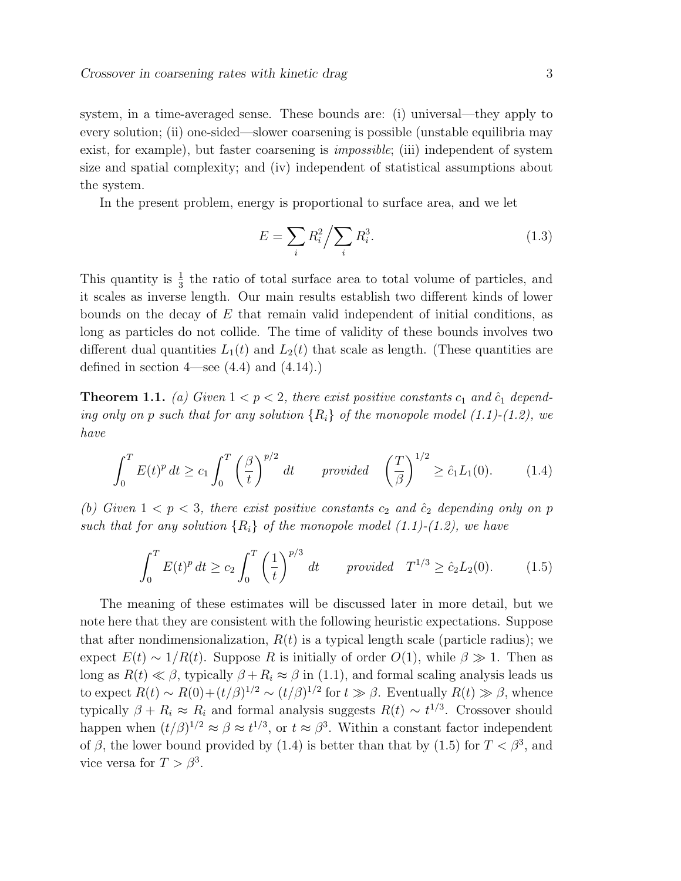system, in a time-averaged sense. These bounds are: (i) universal—they apply to every solution; (ii) one-sided—slower coarsening is possible (unstable equilibria may exist, for example), but faster coarsening is *impossible*; (iii) independent of system size and spatial complexity; and (iv) independent of statistical assumptions about the system.

In the present problem, energy is proportional to surface area, and we let

$$
E = \sum_{i} R_i^2 / \sum_{i} R_i^3.
$$
 (1.3)

This quantity is  $\frac{1}{3}$  the ratio of total surface area to total volume of particles, and it scales as inverse length. Our main results establish two different kinds of lower bounds on the decay of  $E$  that remain valid independent of initial conditions, as long as particles do not collide. The time of validity of these bounds involves two different dual quantities  $L_1(t)$  and  $L_2(t)$  that scale as length. (These quantities are defined in section  $4$ —see  $(4.4)$  and  $(4.14)$ .

**Theorem 1.1.** (a) Given  $1 < p < 2$ , there exist positive constants  $c_1$  and  $\hat{c}_1$  depending only on p such that for any solution  ${R_i}$  of the monopole model (1.1)-(1.2), we have

$$
\int_0^T E(t)^p dt \ge c_1 \int_0^T \left(\frac{\beta}{t}\right)^{p/2} dt \qquad provided \quad \left(\frac{T}{\beta}\right)^{1/2} \ge \hat{c}_1 L_1(0). \tag{1.4}
$$

(b) Given  $1 < p < 3$ , there exist positive constants  $c_2$  and  $\hat{c}_2$  depending only on p such that for any solution  ${R_i}$  of the monopole model (1.1)-(1.2), we have

$$
\int_0^T E(t)^p dt \ge c_2 \int_0^T \left(\frac{1}{t}\right)^{p/3} dt \qquad provided \quad T^{1/3} \ge \hat{c}_2 L_2(0). \tag{1.5}
$$

The meaning of these estimates will be discussed later in more detail, but we note here that they are consistent with the following heuristic expectations. Suppose that after nondimensionalization,  $R(t)$  is a typical length scale (particle radius); we expect  $E(t) \sim 1/R(t)$ . Suppose R is initially of order  $O(1)$ , while  $\beta \gg 1$ . Then as long as  $R(t) \ll \beta$ , typically  $\beta + R_i \approx \beta$  in (1.1), and formal scaling analysis leads us to expect  $R(t) \sim R(0) + (t/\beta)^{1/2} \sim (t/\beta)^{1/2}$  for  $t \gg \beta$ . Eventually  $R(t) \gg \beta$ , whence typically  $\beta + R_i \approx R_i$  and formal analysis suggests  $R(t) \sim t^{1/3}$ . Crossover should happen when  $(t/\beta)^{1/2} \approx \beta \approx t^{1/3}$ , or  $t \approx \beta^3$ . Within a constant factor independent of  $\beta$ , the lower bound provided by (1.4) is better than that by (1.5) for  $T < \beta^3$ , and vice versa for  $T > \beta^3$ .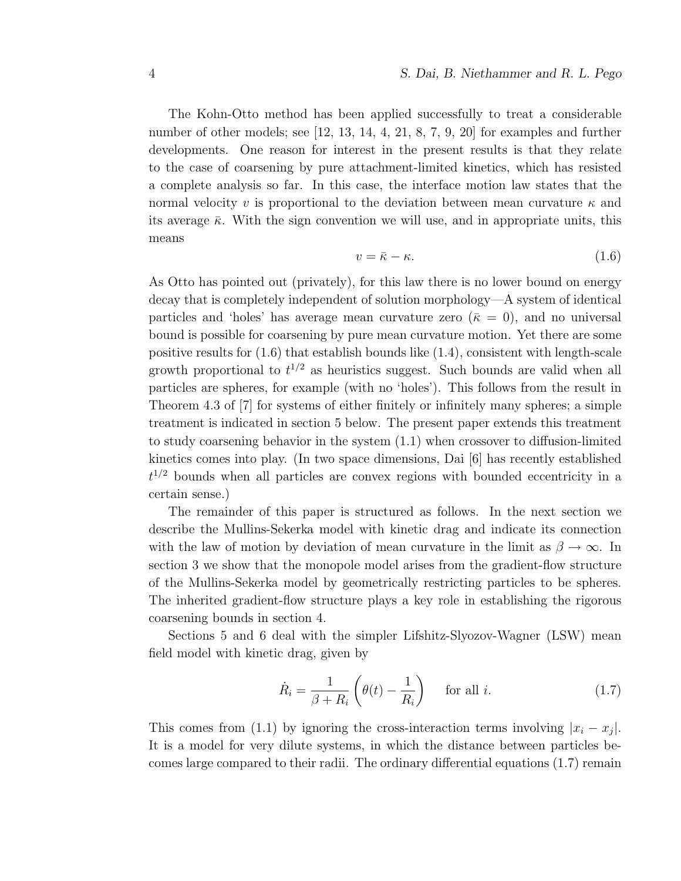The Kohn-Otto method has been applied successfully to treat a considerable number of other models; see [12, 13, 14, 4, 21, 8, 7, 9, 20] for examples and further developments. One reason for interest in the present results is that they relate to the case of coarsening by pure attachment-limited kinetics, which has resisted a complete analysis so far. In this case, the interface motion law states that the normal velocity v is proportional to the deviation between mean curvature  $\kappa$  and its average  $\bar{\kappa}$ . With the sign convention we will use, and in appropriate units, this means

$$
v = \bar{\kappa} - \kappa. \tag{1.6}
$$

As Otto has pointed out (privately), for this law there is no lower bound on energy decay that is completely independent of solution morphology—A system of identical particles and 'holes' has average mean curvature zero ( $\bar{\kappa} = 0$ ), and no universal bound is possible for coarsening by pure mean curvature motion. Yet there are some positive results for (1.6) that establish bounds like (1.4), consistent with length-scale growth proportional to  $t^{1/2}$  as heuristics suggest. Such bounds are valid when all particles are spheres, for example (with no 'holes'). This follows from the result in Theorem 4.3 of [7] for systems of either finitely or infinitely many spheres; a simple treatment is indicated in section 5 below. The present paper extends this treatment to study coarsening behavior in the system (1.1) when crossover to diffusion-limited kinetics comes into play. (In two space dimensions, Dai [6] has recently established  $t^{1/2}$  bounds when all particles are convex regions with bounded eccentricity in a certain sense.)

The remainder of this paper is structured as follows. In the next section we describe the Mullins-Sekerka model with kinetic drag and indicate its connection with the law of motion by deviation of mean curvature in the limit as  $\beta \to \infty$ . In section 3 we show that the monopole model arises from the gradient-flow structure of the Mullins-Sekerka model by geometrically restricting particles to be spheres. The inherited gradient-flow structure plays a key role in establishing the rigorous coarsening bounds in section 4.

Sections 5 and 6 deal with the simpler Lifshitz-Slyozov-Wagner (LSW) mean field model with kinetic drag, given by

$$
\dot{R}_i = \frac{1}{\beta + R_i} \left( \theta(t) - \frac{1}{R_i} \right) \quad \text{for all } i.
$$
 (1.7)

This comes from (1.1) by ignoring the cross-interaction terms involving  $|x_i - x_j|$ . It is a model for very dilute systems, in which the distance between particles becomes large compared to their radii. The ordinary differential equations (1.7) remain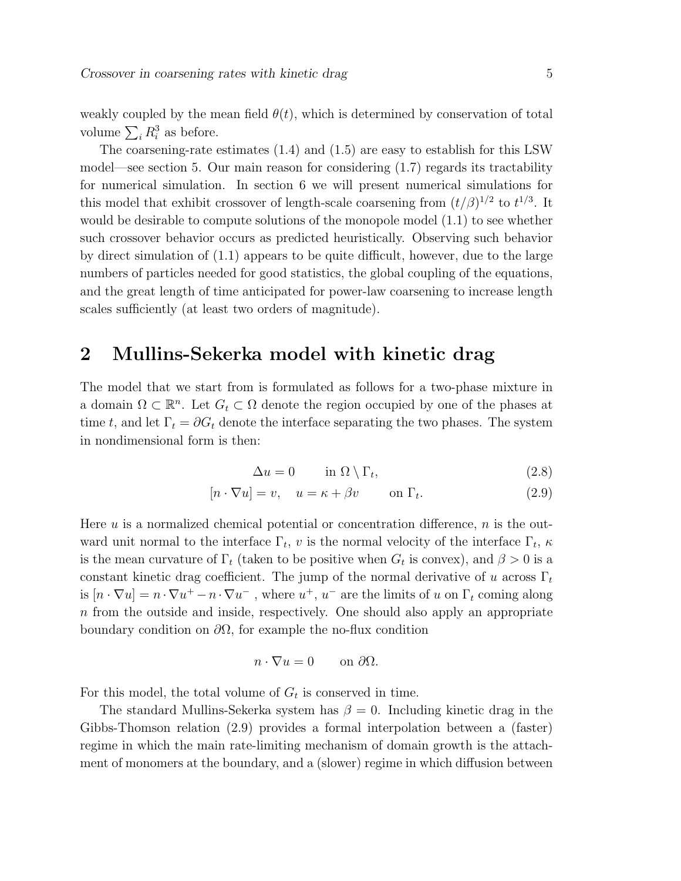weakly coupled by the mean field  $\theta(t)$ , which is determined by conservation of total volume  $\sum_i R_i^3$  as before.

The coarsening-rate estimates (1.4) and (1.5) are easy to establish for this LSW model—see section 5. Our main reason for considering (1.7) regards its tractability for numerical simulation. In section 6 we will present numerical simulations for this model that exhibit crossover of length-scale coarsening from  $(t/\beta)^{1/2}$  to  $t^{1/3}$ . It would be desirable to compute solutions of the monopole model (1.1) to see whether such crossover behavior occurs as predicted heuristically. Observing such behavior by direct simulation of (1.1) appears to be quite difficult, however, due to the large numbers of particles needed for good statistics, the global coupling of the equations, and the great length of time anticipated for power-law coarsening to increase length scales sufficiently (at least two orders of magnitude).

## 2 Mullins-Sekerka model with kinetic drag

The model that we start from is formulated as follows for a two-phase mixture in a domain  $\Omega \subset \mathbb{R}^n$ . Let  $G_t \subset \Omega$  denote the region occupied by one of the phases at time t, and let  $\Gamma_t = \partial G_t$  denote the interface separating the two phases. The system in nondimensional form is then:

$$
\Delta u = 0 \qquad \text{in } \Omega \setminus \Gamma_t,\tag{2.8}
$$

$$
[n \cdot \nabla u] = v, \quad u = \kappa + \beta v \qquad \text{on } \Gamma_t.
$$
 (2.9)

Here  $u$  is a normalized chemical potential or concentration difference,  $n$  is the outward unit normal to the interface  $\Gamma_t$ , v is the normal velocity of the interface  $\Gamma_t$ ,  $\kappa$ is the mean curvature of  $\Gamma_t$  (taken to be positive when  $G_t$  is convex), and  $\beta > 0$  is a constant kinetic drag coefficient. The jump of the normal derivative of u across  $\Gamma_t$ is  $[n \cdot \nabla u] = n \cdot \nabla u^+ - n \cdot \nabla u^-$ , where  $u^+$ ,  $u^-$  are the limits of u on  $\Gamma_t$  coming along n from the outside and inside, respectively. One should also apply an appropriate boundary condition on  $\partial\Omega$ , for example the no-flux condition

$$
n \cdot \nabla u = 0 \qquad \text{on } \partial \Omega.
$$

For this model, the total volume of  $G_t$  is conserved in time.

The standard Mullins-Sekerka system has  $\beta = 0$ . Including kinetic drag in the Gibbs-Thomson relation (2.9) provides a formal interpolation between a (faster) regime in which the main rate-limiting mechanism of domain growth is the attachment of monomers at the boundary, and a (slower) regime in which diffusion between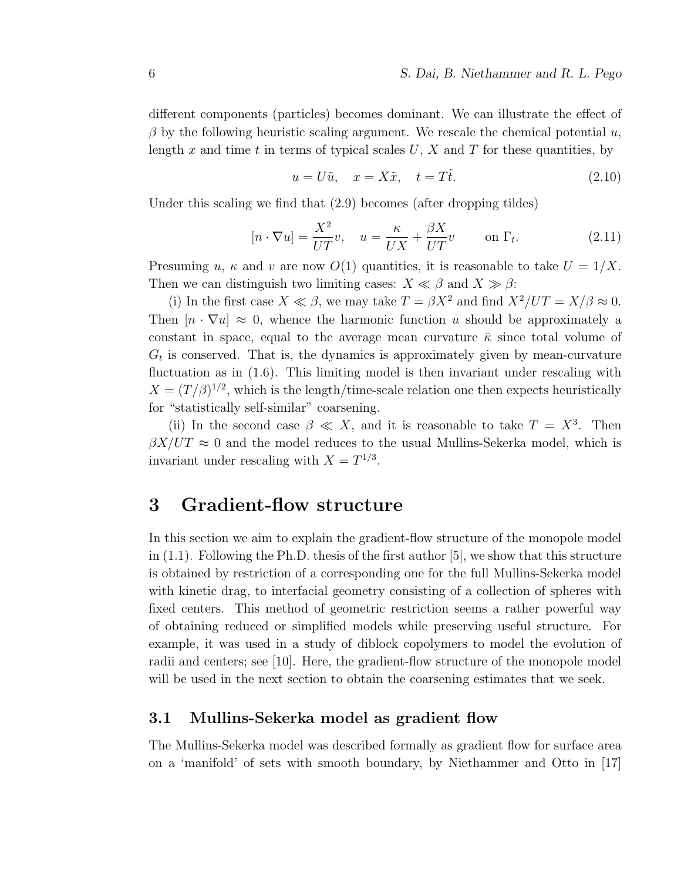different components (particles) becomes dominant. We can illustrate the effect of  $\beta$  by the following heuristic scaling argument. We rescale the chemical potential u, length x and time t in terms of typical scales  $U, X$  and T for these quantities, by

$$
u = U\tilde{u}, \quad x = X\tilde{x}, \quad t = T\tilde{t}.
$$
\n
$$
(2.10)
$$

Under this scaling we find that (2.9) becomes (after dropping tildes)

$$
[n \cdot \nabla u] = \frac{X^2}{UT}v, \quad u = \frac{\kappa}{UX} + \frac{\beta X}{UT}v \qquad \text{on } \Gamma_t.
$$
 (2.11)

Presuming u,  $\kappa$  and v are now  $O(1)$  quantities, it is reasonable to take  $U = 1/X$ . Then we can distinguish two limiting cases:  $X \ll \beta$  and  $X \gg \beta$ :

(i) In the first case  $X \ll \beta$ , we may take  $T = \beta X^2$  and find  $X^2/UT = X/\beta \approx 0$ . Then  $[n \cdot \nabla u] \approx 0$ , whence the harmonic function u should be approximately a constant in space, equal to the average mean curvature  $\bar{\kappa}$  since total volume of  $G_t$  is conserved. That is, the dynamics is approximately given by mean-curvature fluctuation as in  $(1.6)$ . This limiting model is then invariant under rescaling with  $X = (T/\beta)^{1/2}$ , which is the length/time-scale relation one then expects heuristically for "statistically self-similar" coarsening.

(ii) In the second case  $\beta \ll X$ , and it is reasonable to take  $T = X^3$ . Then  $\beta X/UT \approx 0$  and the model reduces to the usual Mullins-Sekerka model, which is invariant under rescaling with  $X = T^{1/3}$ .

## 3 Gradient-flow structure

In this section we aim to explain the gradient-flow structure of the monopole model in  $(1.1)$ . Following the Ph.D. thesis of the first author [5], we show that this structure is obtained by restriction of a corresponding one for the full Mullins-Sekerka model with kinetic drag, to interfacial geometry consisting of a collection of spheres with fixed centers. This method of geometric restriction seems a rather powerful way of obtaining reduced or simplified models while preserving useful structure. For example, it was used in a study of diblock copolymers to model the evolution of radii and centers; see [10]. Here, the gradient-flow structure of the monopole model will be used in the next section to obtain the coarsening estimates that we seek.

### 3.1 Mullins-Sekerka model as gradient flow

The Mullins-Sekerka model was described formally as gradient flow for surface area on a 'manifold' of sets with smooth boundary, by Niethammer and Otto in [17]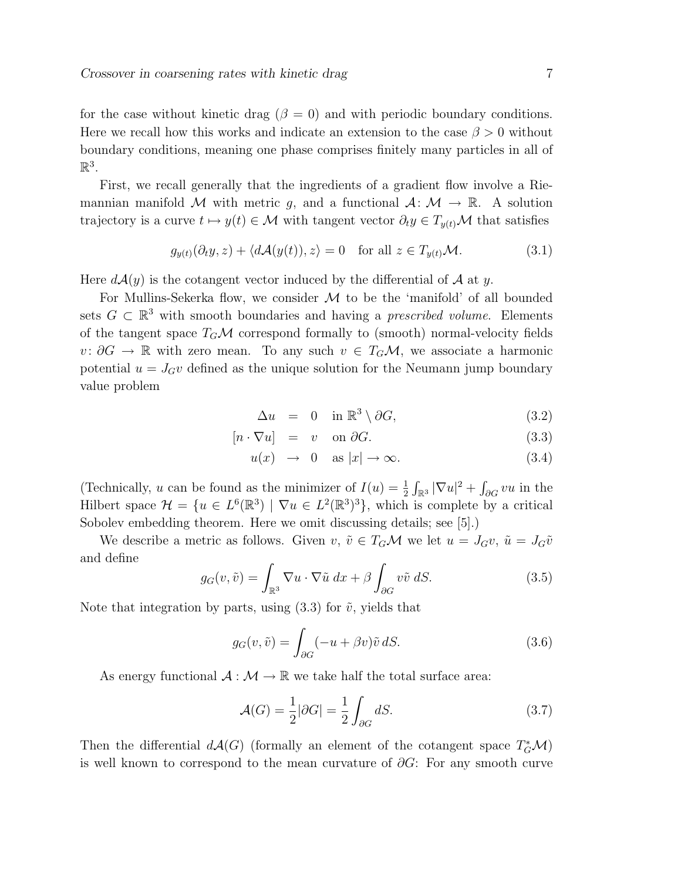for the case without kinetic drag ( $\beta = 0$ ) and with periodic boundary conditions. Here we recall how this works and indicate an extension to the case  $\beta > 0$  without boundary conditions, meaning one phase comprises finitely many particles in all of  $\mathbb{R}^3$ .

First, we recall generally that the ingredients of a gradient flow involve a Riemannian manifold M with metric g, and a functional  $A: \mathcal{M} \to \mathbb{R}$ . A solution trajectory is a curve  $t \mapsto y(t) \in \mathcal{M}$  with tangent vector  $\partial_t y \in T_{y(t)}\mathcal{M}$  that satisfies

$$
g_{y(t)}(\partial_t y, z) + \langle d\mathcal{A}(y(t)), z \rangle = 0 \quad \text{for all } z \in T_{y(t)}\mathcal{M}.
$$
 (3.1)

Here  $d\mathcal{A}(y)$  is the cotangent vector induced by the differential of  $\mathcal A$  at y.

For Mullins-Sekerka flow, we consider  $M$  to be the 'manifold' of all bounded sets  $G \subset \mathbb{R}^3$  with smooth boundaries and having a *prescribed volume*. Elements of the tangent space  $T_G\mathcal{M}$  correspond formally to (smooth) normal-velocity fields v:  $\partial G \to \mathbb{R}$  with zero mean. To any such  $v \in T_G\mathcal{M}$ , we associate a harmonic potential  $u = J_G v$  defined as the unique solution for the Neumann jump boundary value problem

$$
\Delta u = 0 \quad \text{in } \mathbb{R}^3 \setminus \partial G, \tag{3.2}
$$

$$
[n \cdot \nabla u] = v \quad \text{on } \partial G. \tag{3.3}
$$

$$
u(x) \rightarrow 0 \text{ as } |x| \rightarrow \infty. \tag{3.4}
$$

(Technically, u can be found as the minimizer of  $I(u) = \frac{1}{2} \int_{\mathbb{R}^3} |\nabla u|^2 + \int_{\partial G} vu$  in the Hilbert space  $\mathcal{H} = \{u \in L^{6}(\mathbb{R}^{3}) \mid \nabla u \in L^{2}(\mathbb{R}^{3})^{3}\},\$  which is complete by a critical Sobolev embedding theorem. Here we omit discussing details; see [5].)

We describe a metric as follows. Given  $v, \tilde{v} \in T_G\mathcal{M}$  we let  $u = J_Gv, \tilde{u} = J_G\tilde{v}$ and define

$$
g_G(v,\tilde{v}) = \int_{\mathbb{R}^3} \nabla u \cdot \nabla \tilde{u} \, dx + \beta \int_{\partial G} v \tilde{v} \, dS. \tag{3.5}
$$

Note that integration by parts, using  $(3.3)$  for  $\tilde{v}$ , yields that

$$
g_G(v, \tilde{v}) = \int_{\partial G} (-u + \beta v) \tilde{v} \, dS. \tag{3.6}
$$

As energy functional  $\mathcal{A}: \mathcal{M} \to \mathbb{R}$  we take half the total surface area:

$$
\mathcal{A}(G) = \frac{1}{2} |\partial G| = \frac{1}{2} \int_{\partial G} dS. \tag{3.7}
$$

Then the differential  $d\mathcal{A}(G)$  (formally an element of the cotangent space  $T_G^*\mathcal{M}$ ) is well known to correspond to the mean curvature of  $\partial G$ : For any smooth curve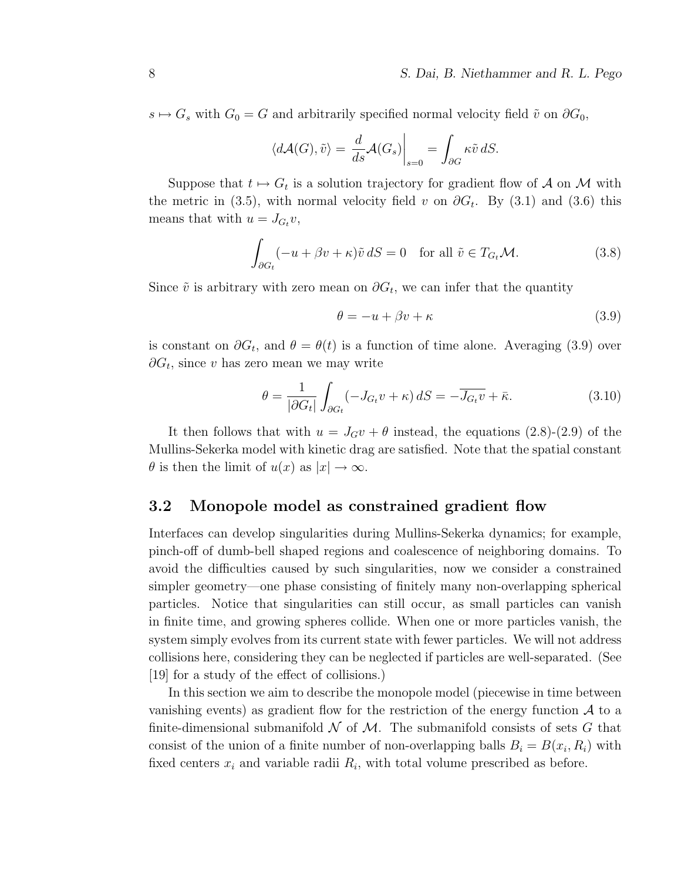$s \mapsto G_s$  with  $G_0 = G$  and arbitrarily specified normal velocity field  $\tilde{v}$  on  $\partial G_0$ ,

$$
\langle d\mathcal{A}(G), \tilde{v} \rangle = \left. \frac{d}{ds} \mathcal{A}(G_s) \right|_{s=0} = \int_{\partial G} \kappa \tilde{v} \, dS.
$$

Suppose that  $t \mapsto G_t$  is a solution trajectory for gradient flow of A on M with the metric in (3.5), with normal velocity field v on  $\partial G_t$ . By (3.1) and (3.6) this means that with  $u = J_{G_t} v$ ,

$$
\int_{\partial G_t} (-u + \beta v + \kappa) \tilde{v} \, dS = 0 \quad \text{for all } \tilde{v} \in T_{G_t} \mathcal{M}.
$$
\n(3.8)

Since  $\tilde{v}$  is arbitrary with zero mean on  $\partial G_t$ , we can infer that the quantity

$$
\theta = -u + \beta v + \kappa \tag{3.9}
$$

is constant on  $\partial G_t$ , and  $\theta = \theta(t)$  is a function of time alone. Averaging (3.9) over  $\partial G_t$ , since v has zero mean we may write

$$
\theta = \frac{1}{|\partial G_t|} \int_{\partial G_t} (-J_{G_t} v + \kappa) dS = -\overline{J_{G_t} v} + \overline{\kappa}.
$$
 (3.10)

It then follows that with  $u = J_G v + \theta$  instead, the equations (2.8)-(2.9) of the Mullins-Sekerka model with kinetic drag are satisfied. Note that the spatial constant  $\theta$  is then the limit of  $u(x)$  as  $|x| \to \infty$ .

#### 3.2 Monopole model as constrained gradient flow

Interfaces can develop singularities during Mullins-Sekerka dynamics; for example, pinch-off of dumb-bell shaped regions and coalescence of neighboring domains. To avoid the difficulties caused by such singularities, now we consider a constrained simpler geometry—one phase consisting of finitely many non-overlapping spherical particles. Notice that singularities can still occur, as small particles can vanish in finite time, and growing spheres collide. When one or more particles vanish, the system simply evolves from its current state with fewer particles. We will not address collisions here, considering they can be neglected if particles are well-separated. (See [19] for a study of the effect of collisions.)

In this section we aim to describe the monopole model (piecewise in time between vanishing events) as gradient flow for the restriction of the energy function  $A$  to a finite-dimensional submanifold  $\mathcal N$  of  $\mathcal M$ . The submanifold consists of sets G that consist of the union of a finite number of non-overlapping balls  $B_i = B(x_i, R_i)$  with fixed centers  $x_i$  and variable radii  $R_i$ , with total volume prescribed as before.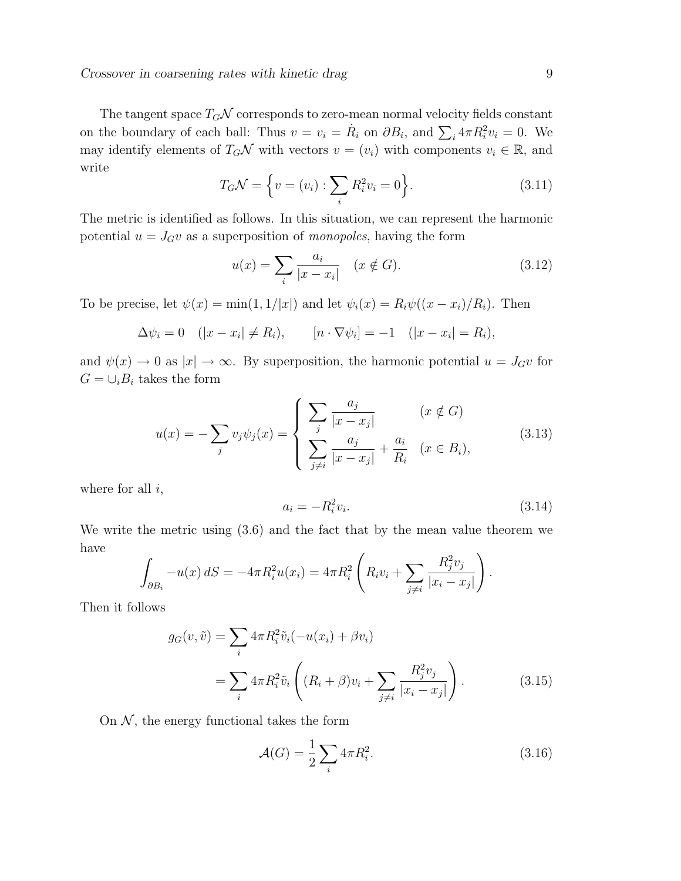Crossover in coarsening rates with kinetic drag 9

The tangent space  $T_G\mathcal{N}$  corresponds to zero-mean normal velocity fields constant on the boundary of each ball: Thus  $v = v_i = \dot{R}_i$  on  $\partial B_i$ , and  $\sum_i 4\pi R_i^2 v_i = 0$ . We may identify elements of  $T_G\mathcal{N}$  with vectors  $v = (v_i)$  with components  $v_i \in \mathbb{R}$ , and write

$$
T_G \mathcal{N} = \left\{ v = (v_i) : \sum_i R_i^2 v_i = 0 \right\}.
$$
 (3.11)

The metric is identified as follows. In this situation, we can represent the harmonic potential  $u = J_G v$  as a superposition of *monopoles*, having the form

$$
u(x) = \sum_{i} \frac{a_i}{|x - x_i|} \quad (x \notin G). \tag{3.12}
$$

To be precise, let  $\psi(x) = \min(1, 1/|x|)$  and let  $\psi_i(x) = R_i \psi((x - x_i)/R_i)$ . Then

$$
\Delta \psi_i = 0
$$
  $(|x - x_i| \neq R_i)$ ,  $[n \cdot \nabla \psi_i] = -1$   $(|x - x_i| = R_i)$ ,

and  $\psi(x) \to 0$  as  $|x| \to \infty$ . By superposition, the harmonic potential  $u = J_G v$  for  $G = \bigcup_i B_i$  takes the form

$$
u(x) = -\sum_{j} v_{j} \psi_{j}(x) = \begin{cases} \sum_{j} \frac{a_{j}}{|x - x_{j}|} & (x \notin G) \\ \sum_{j \neq i} \frac{a_{j}}{|x - x_{j}|} + \frac{a_{i}}{R_{i}} & (x \in B_{i}), \end{cases}
$$
(3.13)

where for all  $i$ ,

$$
a_i = -R_i^2 v_i. \tag{3.14}
$$

We write the metric using (3.6) and the fact that by the mean value theorem we have

$$
\int_{\partial B_i} -u(x) \, dS = -4\pi R_i^2 u(x_i) = 4\pi R_i^2 \left( R_i v_i + \sum_{j \neq i} \frac{R_j^2 v_j}{|x_i - x_j|} \right).
$$

Then it follows

$$
g_G(v, \tilde{v}) = \sum_i 4\pi R_i^2 \tilde{v}_i(-u(x_i) + \beta v_i)
$$
  
= 
$$
\sum_i 4\pi R_i^2 \tilde{v}_i \left( (R_i + \beta)v_i + \sum_{j \neq i} \frac{R_j^2 v_j}{|x_i - x_j|} \right).
$$
 (3.15)

On  $N$ , the energy functional takes the form

$$
\mathcal{A}(G) = \frac{1}{2} \sum_{i} 4\pi R_i^2. \tag{3.16}
$$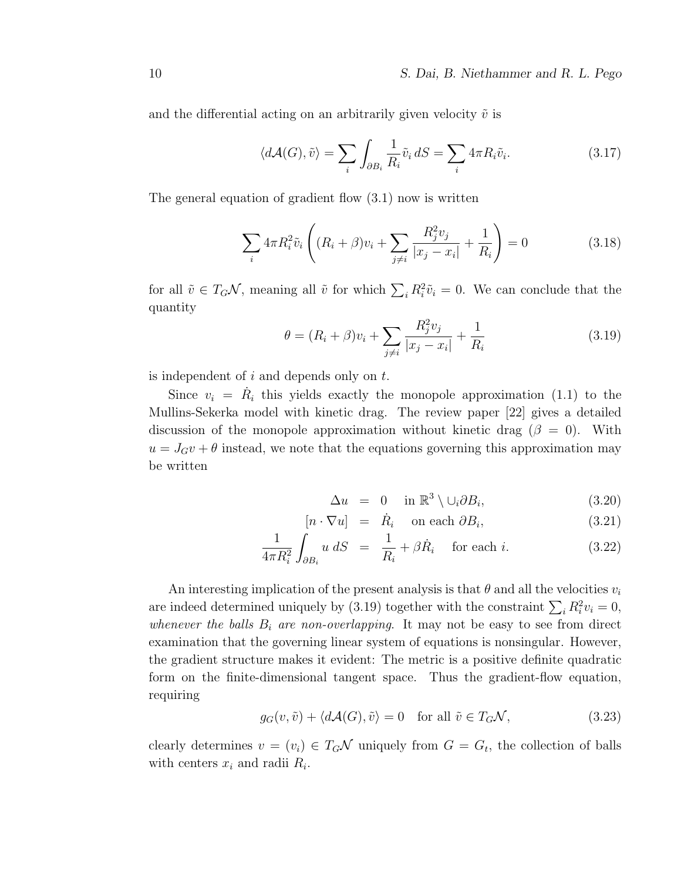and the differential acting on an arbitrarily given velocity  $\tilde{v}$  is

$$
\langle d\mathcal{A}(G), \tilde{v} \rangle = \sum_{i} \int_{\partial B_i} \frac{1}{R_i} \tilde{v}_i \, dS = \sum_{i} 4\pi R_i \tilde{v}_i. \tag{3.17}
$$

The general equation of gradient flow (3.1) now is written

$$
\sum_{i} 4\pi R_i^2 \tilde{v}_i \left( (R_i + \beta)v_i + \sum_{j \neq i} \frac{R_j^2 v_j}{|x_j - x_i|} + \frac{1}{R_i} \right) = 0 \tag{3.18}
$$

for all  $\tilde{v} \in T_G\mathcal{N}$ , meaning all  $\tilde{v}$  for which  $\sum_i R_i^2 \tilde{v}_i = 0$ . We can conclude that the quantity

$$
\theta = (R_i + \beta)v_i + \sum_{j \neq i} \frac{R_j^2 v_j}{|x_j - x_i|} + \frac{1}{R_i}
$$
\n(3.19)

is independent of  $i$  and depends only on  $t$ .

Since  $v_i = \dot{R}_i$  this yields exactly the monopole approximation (1.1) to the Mullins-Sekerka model with kinetic drag. The review paper [22] gives a detailed discussion of the monopole approximation without kinetic drag ( $\beta = 0$ ). With  $u = J_G v + \theta$  instead, we note that the equations governing this approximation may be written

$$
\Delta u = 0 \quad \text{in } \mathbb{R}^3 \setminus \cup_i \partial B_i,
$$
 (3.20)

$$
[n \cdot \nabla u] = \dot{R}_i \quad \text{on each } \partial B_i,
$$
 (3.21)

$$
\frac{1}{4\pi R_i^2} \int_{\partial B_i} u \, dS = \frac{1}{R_i} + \beta \dot{R}_i \quad \text{for each } i. \tag{3.22}
$$

An interesting implication of the present analysis is that  $\theta$  and all the velocities  $v_i$ are indeed determined uniquely by (3.19) together with the constraint  $\sum_i R_i^2 v_i = 0$ , whenever the balls  $B_i$  are non-overlapping. It may not be easy to see from direct examination that the governing linear system of equations is nonsingular. However, the gradient structure makes it evident: The metric is a positive definite quadratic form on the finite-dimensional tangent space. Thus the gradient-flow equation, requiring

$$
g_G(v, \tilde{v}) + \langle d\mathcal{A}(G), \tilde{v} \rangle = 0 \quad \text{for all } \tilde{v} \in T_G \mathcal{N}, \tag{3.23}
$$

clearly determines  $v = (v_i) \in T_G \mathcal{N}$  uniquely from  $G = G_t$ , the collection of balls with centers  $x_i$  and radii  $R_i$ .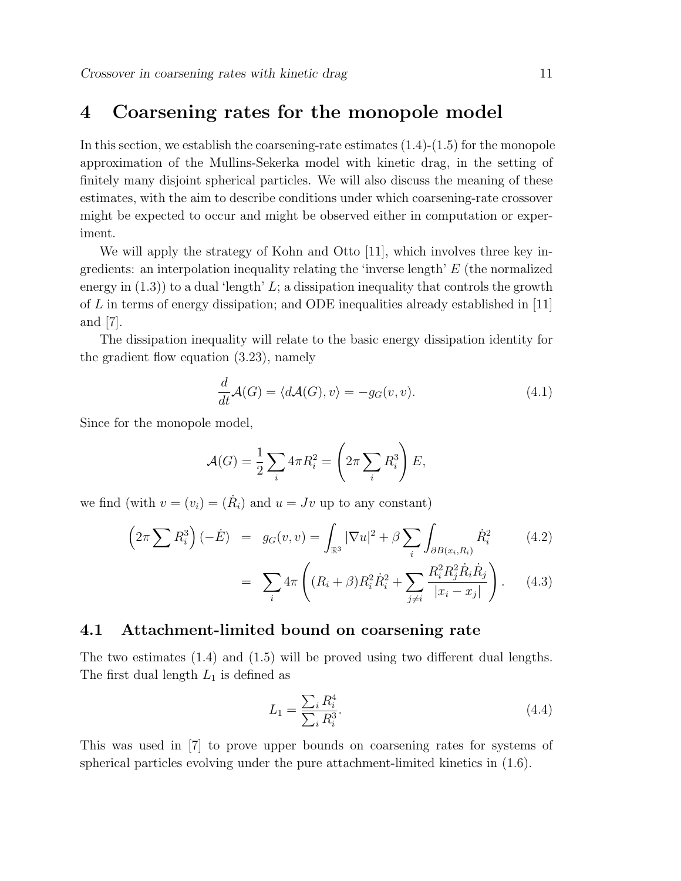## 4 Coarsening rates for the monopole model

In this section, we establish the coarsening-rate estimates  $(1.4)-(1.5)$  for the monopole approximation of the Mullins-Sekerka model with kinetic drag, in the setting of finitely many disjoint spherical particles. We will also discuss the meaning of these estimates, with the aim to describe conditions under which coarsening-rate crossover might be expected to occur and might be observed either in computation or experiment.

We will apply the strategy of Kohn and Otto [11], which involves three key ingredients: an interpolation inequality relating the 'inverse length' E (the normalized energy in  $(1.3)$  to a dual 'length' L; a dissipation inequality that controls the growth of  $L$  in terms of energy dissipation; and ODE inequalities already established in [11] and [7].

The dissipation inequality will relate to the basic energy dissipation identity for the gradient flow equation (3.23), namely

$$
\frac{d}{dt}\mathcal{A}(G) = \langle d\mathcal{A}(G), v \rangle = -g_G(v, v). \tag{4.1}
$$

Since for the monopole model,

$$
\mathcal{A}(G) = \frac{1}{2} \sum_{i} 4\pi R_i^2 = \left(2\pi \sum_{i} R_i^3\right) E,
$$

we find (with  $v = (v_i) = (\dot{R}_i)$  and  $u = Jv$  up to any constant)

$$
\left(2\pi\sum R_i^3\right)(-\dot{E}) = g_G(v,v) = \int_{\mathbb{R}^3} |\nabla u|^2 + \beta \sum_i \int_{\partial B(x_i,R_i)} \dot{R}_i^2 \tag{4.2}
$$

$$
= \sum_{i} 4\pi \left( (R_i + \beta) R_i^2 \dot{R}_i^2 + \sum_{j \neq i} \frac{R_i^2 R_j^2 \dot{R}_i \dot{R}_j}{|x_i - x_j|} \right). \tag{4.3}
$$

#### 4.1 Attachment-limited bound on coarsening rate

The two estimates (1.4) and (1.5) will be proved using two different dual lengths. The first dual length  $L_1$  is defined as

$$
L_1 = \frac{\sum_i R_i^4}{\sum_i R_i^3}.
$$
\n(4.4)

This was used in [7] to prove upper bounds on coarsening rates for systems of spherical particles evolving under the pure attachment-limited kinetics in (1.6).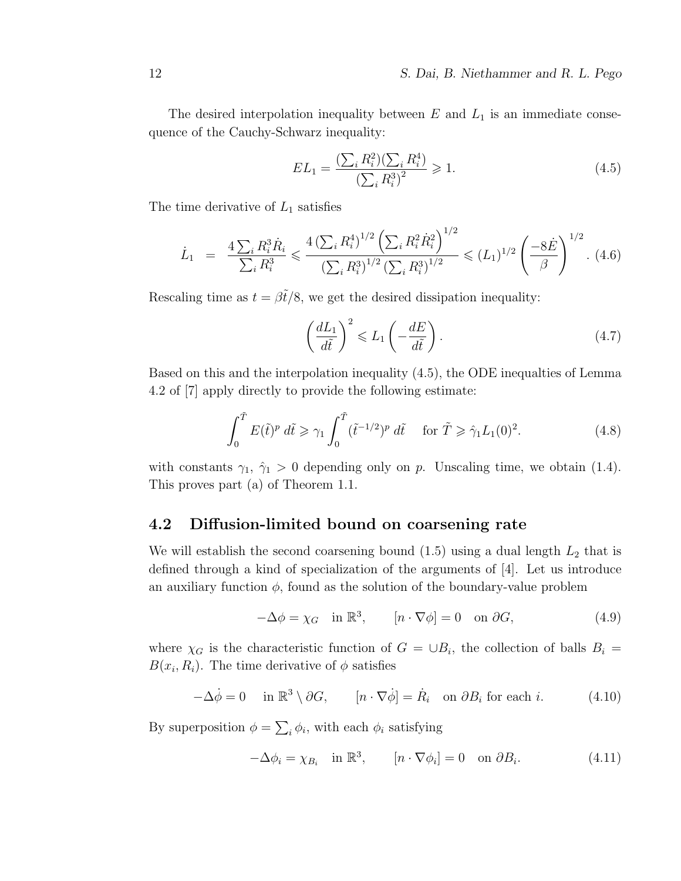The desired interpolation inequality between  $E$  and  $L_1$  is an immediate consequence of the Cauchy-Schwarz inequality:

$$
EL_1 = \frac{\left(\sum_i R_i^2\right)\left(\sum_i R_i^4\right)}{\left(\sum_i R_i^3\right)^2} \geqslant 1. \tag{4.5}
$$

The time derivative of  $L_1$  satisfies

$$
\dot{L}_1 = \frac{4 \sum_i R_i^3 \dot{R}_i}{\sum_i R_i^3} \leqslant \frac{4 \left(\sum_i R_i^4\right)^{1/2} \left(\sum_i R_i^2 \dot{R}_i^2\right)^{1/2}}{\left(\sum_i R_i^3\right)^{1/2} \left(\sum_i R_i^3\right)^{1/2}} \leqslant (L_1)^{1/2} \left(\frac{-8\dot{E}}{\beta}\right)^{1/2}.\tag{4.6}
$$

Rescaling time as  $t = \beta \tilde{t}/8$ , we get the desired dissipation inequality:

$$
\left(\frac{dL_1}{d\tilde{t}}\right)^2 \leqslant L_1\left(-\frac{dE}{d\tilde{t}}\right). \tag{4.7}
$$

Based on this and the interpolation inequality (4.5), the ODE inequalties of Lemma 4.2 of [7] apply directly to provide the following estimate:

$$
\int_0^{\tilde{T}} E(\tilde{t})^p d\tilde{t} \ge \gamma_1 \int_0^{\tilde{T}} (\tilde{t}^{-1/2})^p d\tilde{t} \quad \text{for } \tilde{T} \ge \hat{\gamma}_1 L_1(0)^2. \tag{4.8}
$$

with constants  $\gamma_1$ ,  $\hat{\gamma}_1 > 0$  depending only on p. Unscaling time, we obtain (1.4). This proves part (a) of Theorem 1.1.

### 4.2 Diffusion-limited bound on coarsening rate

We will establish the second coarsening bound  $(1.5)$  using a dual length  $L_2$  that is defined through a kind of specialization of the arguments of [4]. Let us introduce an auxiliary function  $\phi$ , found as the solution of the boundary-value problem

$$
-\Delta \phi = \chi_G \quad \text{in } \mathbb{R}^3, \qquad [n \cdot \nabla \phi] = 0 \quad \text{on } \partial G,\tag{4.9}
$$

where  $\chi_G$  is the characteristic function of  $G = \cup B_i$ , the collection of balls  $B_i =$  $B(x_i, R_i)$ . The time derivative of  $\phi$  satisfies

$$
-\Delta \dot{\phi} = 0 \quad \text{in } \mathbb{R}^3 \setminus \partial G, \qquad [n \cdot \nabla \dot{\phi}] = \dot{R}_i \quad \text{on } \partial B_i \text{ for each } i. \tag{4.10}
$$

By superposition  $\phi = \sum_i \phi_i$ , with each  $\phi_i$  satisfying

$$
-\Delta \phi_i = \chi_{B_i} \quad \text{in } \mathbb{R}^3, \qquad [n \cdot \nabla \phi_i] = 0 \quad \text{on } \partial B_i. \tag{4.11}
$$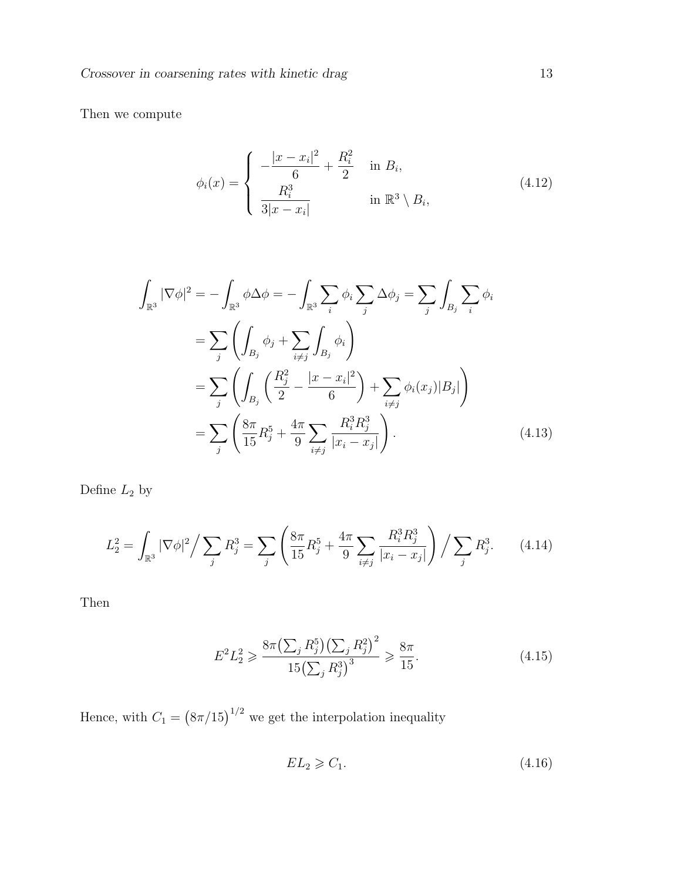Then we compute

$$
\phi_i(x) = \begin{cases}\n-\frac{|x - x_i|^2}{6} + \frac{R_i^2}{2} & \text{in } B_i, \\
\frac{R_i^3}{3|x - x_i|} & \text{in } \mathbb{R}^3 \setminus B_i,\n\end{cases}
$$
\n(4.12)

$$
\int_{\mathbb{R}^3} |\nabla \phi|^2 = -\int_{\mathbb{R}^3} \phi \Delta \phi = -\int_{\mathbb{R}^3} \sum_i \phi_i \sum_j \Delta \phi_j = \sum_j \int_{B_j} \sum_i \phi_i
$$

$$
= \sum_j \left( \int_{B_j} \phi_j + \sum_{i \neq j} \int_{B_j} \phi_i \right)
$$

$$
= \sum_j \left( \int_{B_j} \left( \frac{R_j^2}{2} - \frac{|x - x_i|^2}{6} \right) + \sum_{i \neq j} \phi_i(x_j)|B_j| \right)
$$

$$
= \sum_j \left( \frac{8\pi}{15} R_j^5 + \frac{4\pi}{9} \sum_{i \neq j} \frac{R_i^3 R_j^3}{|x_i - x_j|} \right).
$$
(4.13)

Define  $\mathcal{L}_2$  by

$$
L_2^2 = \int_{\mathbb{R}^3} |\nabla \phi|^2 / \sum_j R_j^3 = \sum_j \left( \frac{8\pi}{15} R_j^5 + \frac{4\pi}{9} \sum_{i \neq j} \frac{R_i^3 R_j^3}{|x_i - x_j|} \right) / \sum_j R_j^3. \tag{4.14}
$$

Then

$$
E^2 L_2^2 \geqslant \frac{8\pi \left(\sum_j R_j^5\right) \left(\sum_j R_j^2\right)^2}{15 \left(\sum_j R_j^3\right)^3} \geqslant \frac{8\pi}{15}.\tag{4.15}
$$

Hence, with  $C_1 = (8\pi/15)^{1/2}$  we get the interpolation inequality

$$
EL_2 \geqslant C_1. \tag{4.16}
$$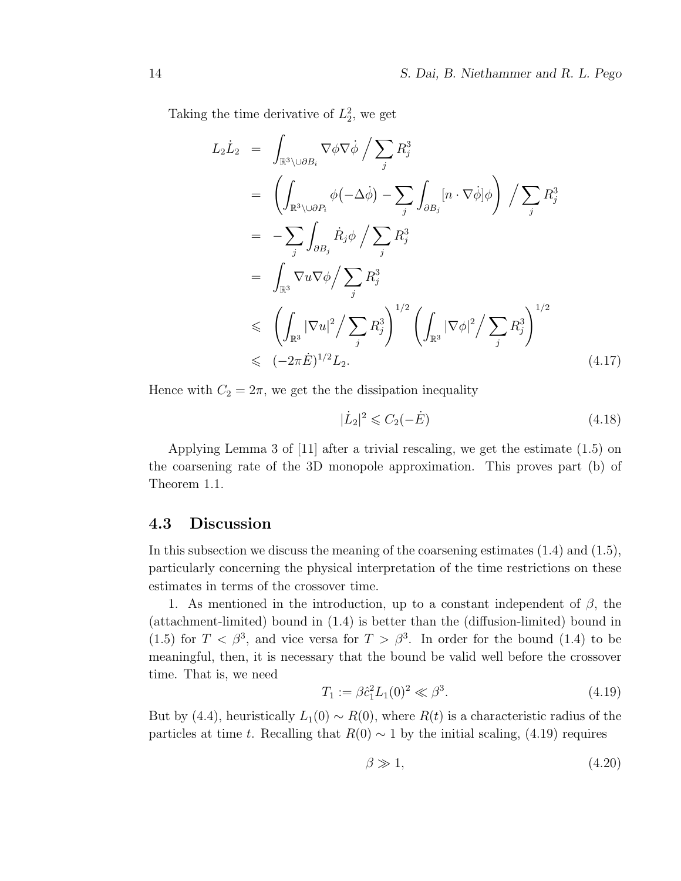Taking the time derivative of  $L_2^2$ , we get

$$
L_2 \dot{L}_2 = \int_{\mathbb{R}^3 \setminus \cup \partial B_i} \nabla \phi \nabla \dot{\phi} / \sum_j R_j^3
$$
  
\n
$$
= \left( \int_{\mathbb{R}^3 \setminus \cup \partial P_i} \phi(-\Delta \dot{\phi}) - \sum_j \int_{\partial B_j} [n \cdot \nabla \dot{\phi}] \phi \right) / \sum_j R_j^3
$$
  
\n
$$
= - \sum_j \int_{\partial B_j} \dot{R}_j \phi / \sum_j R_j^3
$$
  
\n
$$
= \int_{\mathbb{R}^3} \nabla u \nabla \phi / \sum_j R_j^3
$$
  
\n
$$
\leq \left( \int_{\mathbb{R}^3} |\nabla u|^2 / \sum_j R_j^3 \right)^{1/2} \left( \int_{\mathbb{R}^3} |\nabla \phi|^2 / \sum_j R_j^3 \right)^{1/2}
$$
  
\n
$$
\leq (-2\pi \dot{E})^{1/2} L_2.
$$
 (4.17)

Hence with  $C_2 = 2\pi$ , we get the the dissipation inequality

$$
|\dot{L}_2|^2 \leq C_2(-\dot{E})\tag{4.18}
$$

Applying Lemma 3 of [11] after a trivial rescaling, we get the estimate (1.5) on the coarsening rate of the 3D monopole approximation. This proves part (b) of Theorem 1.1.

#### 4.3 Discussion

In this subsection we discuss the meaning of the coarsening estimates (1.4) and (1.5), particularly concerning the physical interpretation of the time restrictions on these estimates in terms of the crossover time.

1. As mentioned in the introduction, up to a constant independent of  $\beta$ , the (attachment-limited) bound in (1.4) is better than the (diffusion-limited) bound in (1.5) for  $T < \beta^3$ , and vice versa for  $T > \beta^3$ . In order for the bound (1.4) to be meaningful, then, it is necessary that the bound be valid well before the crossover time. That is, we need

$$
T_1 := \beta \hat{c}_1^2 L_1(0)^2 \ll \beta^3. \tag{4.19}
$$

But by (4.4), heuristically  $L_1(0) \sim R(0)$ , where  $R(t)$  is a characteristic radius of the particles at time t. Recalling that  $R(0) \sim 1$  by the initial scaling, (4.19) requires

$$
\beta \gg 1,\tag{4.20}
$$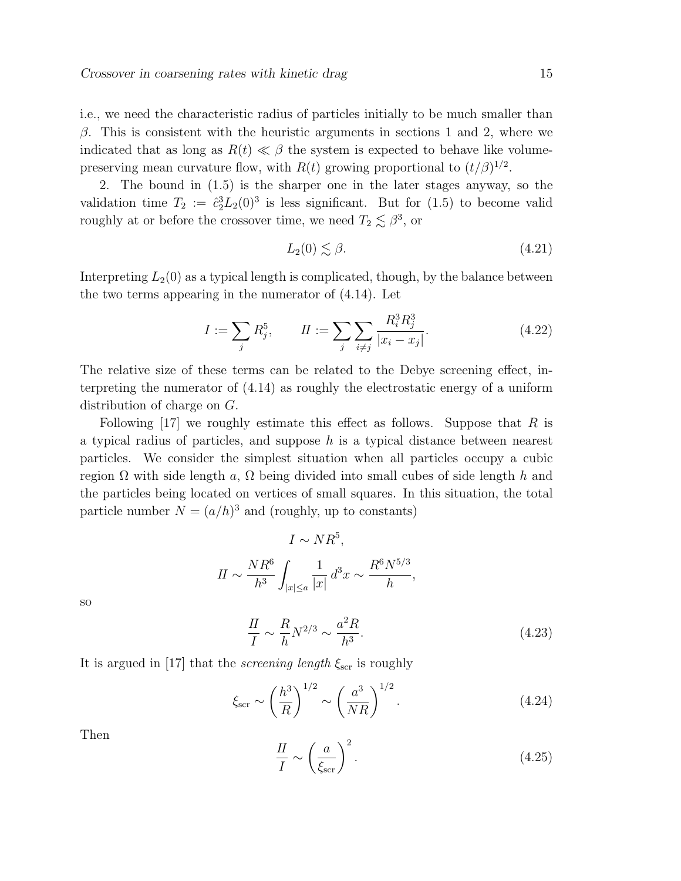i.e., we need the characteristic radius of particles initially to be much smaller than β. This is consistent with the heuristic arguments in sections 1 and 2, where we indicated that as long as  $R(t) \ll \beta$  the system is expected to behave like volumepreserving mean curvature flow, with  $R(t)$  growing proportional to  $(t/\beta)^{1/2}$ .

2. The bound in (1.5) is the sharper one in the later stages anyway, so the validation time  $T_2 := \hat{c}_2^3 L_2(0)^3$  is less significant. But for  $(1.5)$  to become valid roughly at or before the crossover time, we need  $T_2 \lesssim \beta^3$ , or

$$
L_2(0) \lesssim \beta. \tag{4.21}
$$

Interpreting  $L_2(0)$  as a typical length is complicated, though, by the balance between the two terms appearing in the numerator of (4.14). Let

$$
I := \sum_{j} R_j^5, \qquad II := \sum_{j} \sum_{i \neq j} \frac{R_i^3 R_j^3}{|x_i - x_j|}.
$$
 (4.22)

The relative size of these terms can be related to the Debye screening effect, interpreting the numerator of (4.14) as roughly the electrostatic energy of a uniform distribution of charge on G.

Following  $[17]$  we roughly estimate this effect as follows. Suppose that R is a typical radius of particles, and suppose h is a typical distance between nearest particles. We consider the simplest situation when all particles occupy a cubic region  $\Omega$  with side length a,  $\Omega$  being divided into small cubes of side length h and the particles being located on vertices of small squares. In this situation, the total particle number  $N = (a/h)^3$  and (roughly, up to constants)

$$
I \sim NR^5,
$$
  

$$
II \sim \frac{NR^6}{h^3} \int_{|x| \le a} \frac{1}{|x|} d^3x \sim \frac{R^6 N^{5/3}}{h},
$$

so

$$
\frac{II}{I} \sim \frac{R}{h} N^{2/3} \sim \frac{a^2 R}{h^3}.\tag{4.23}
$$

It is argued in [17] that the *screening length*  $\xi_{\text{scr}}$  is roughly

$$
\xi_{\rm scr} \sim \left(\frac{h^3}{R}\right)^{1/2} \sim \left(\frac{a^3}{NR}\right)^{1/2}.\tag{4.24}
$$

Then

$$
\frac{II}{I} \sim \left(\frac{a}{\xi_{\rm scr}}\right)^2.
$$
\n(4.25)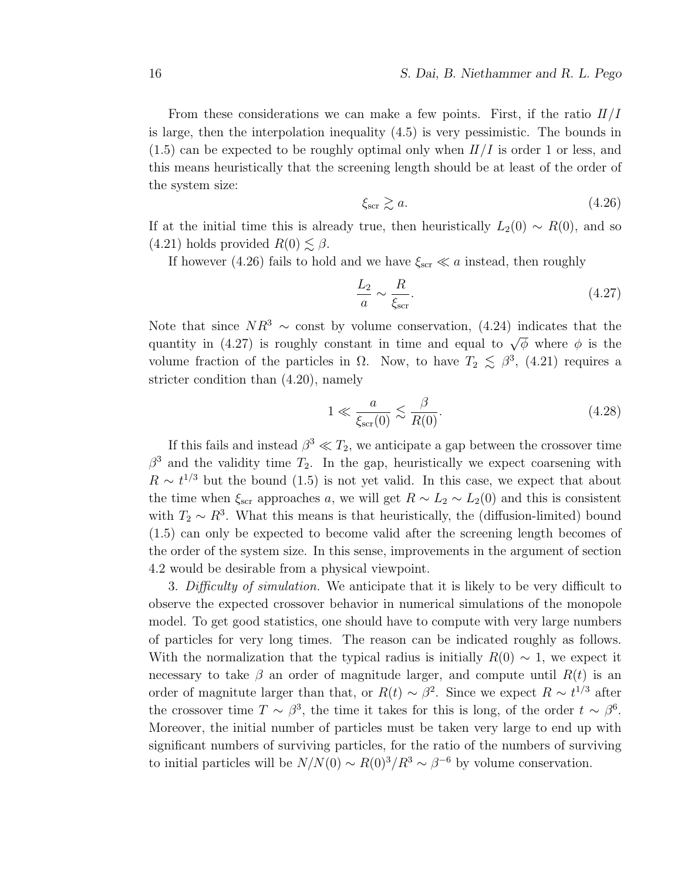From these considerations we can make a few points. First, if the ratio  $II/I$ is large, then the interpolation inequality (4.5) is very pessimistic. The bounds in  $(1.5)$  can be expected to be roughly optimal only when  $II/I$  is order 1 or less, and this means heuristically that the screening length should be at least of the order of the system size:

$$
\xi_{\rm scr} \gtrsim a. \tag{4.26}
$$

If at the initial time this is already true, then heuristically  $L_2(0) \sim R(0)$ , and so  $(4.21)$  holds provided  $R(0) \lesssim \beta$ .

If however (4.26) fails to hold and we have  $\xi_{\rm scr} \ll a$  instead, then roughly

$$
\frac{L_2}{a} \sim \frac{R}{\xi_{\rm scr}}.\tag{4.27}
$$

Note that since  $NR^3 \sim$  const by volume conservation, (4.24) indicates that the quantity in (4.27) is roughly constant in time and equal to  $\sqrt{\phi}$  where  $\phi$  is the volume fraction of the particles in  $\Omega$ . Now, to have  $T_2 \lesssim \beta^3$ , (4.21) requires a stricter condition than (4.20), namely

$$
1 \ll \frac{a}{\xi_{\rm scr}(0)} \lesssim \frac{\beta}{R(0)}.\tag{4.28}
$$

If this fails and instead  $\beta^3 \ll T_2$ , we anticipate a gap between the crossover time  $\beta^3$  and the validity time  $T_2$ . In the gap, heuristically we expect coarsening with  $R \sim t^{1/3}$  but the bound (1.5) is not yet valid. In this case, we expect that about the time when  $\xi_{\rm scr}$  approaches a, we will get  $R \sim L_2 \sim L_2(0)$  and this is consistent with  $T_2 \sim R^3$ . What this means is that heuristically, the (diffusion-limited) bound (1.5) can only be expected to become valid after the screening length becomes of the order of the system size. In this sense, improvements in the argument of section 4.2 would be desirable from a physical viewpoint.

3. Difficulty of simulation. We anticipate that it is likely to be very difficult to observe the expected crossover behavior in numerical simulations of the monopole model. To get good statistics, one should have to compute with very large numbers of particles for very long times. The reason can be indicated roughly as follows. With the normalization that the typical radius is initially  $R(0) \sim 1$ , we expect it necessary to take  $\beta$  an order of magnitude larger, and compute until  $R(t)$  is an order of magnitute larger than that, or  $R(t) \sim \beta^2$ . Since we expect  $R \sim t^{1/3}$  after the crossover time  $T \sim \beta^3$ , the time it takes for this is long, of the order  $t \sim \beta^6$ . Moreover, the initial number of particles must be taken very large to end up with significant numbers of surviving particles, for the ratio of the numbers of surviving to initial particles will be  $N/N(0) \sim R(0)^3/R^3 \sim \beta^{-6}$  by volume conservation.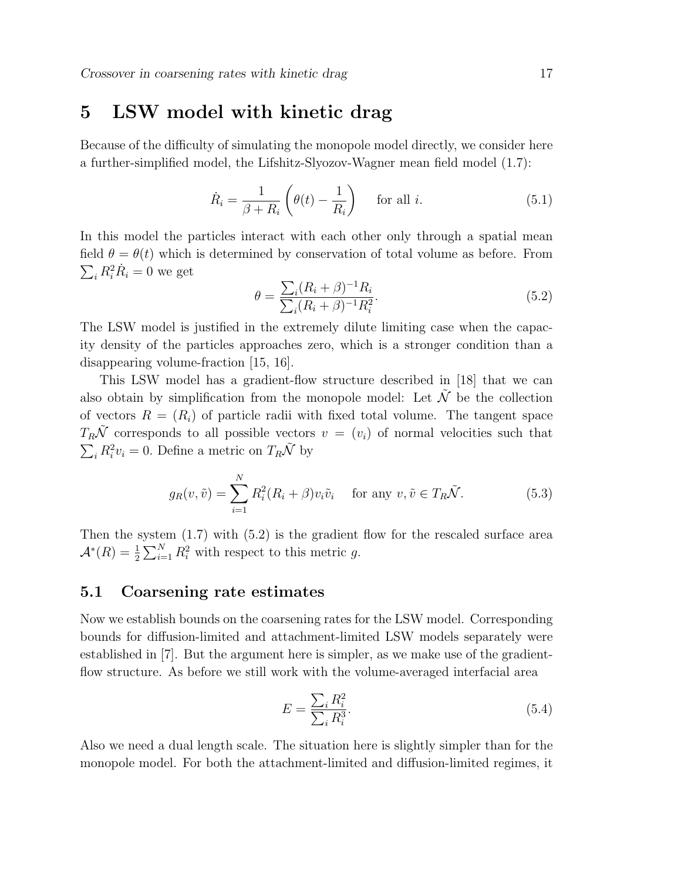## 5 LSW model with kinetic drag

Because of the difficulty of simulating the monopole model directly, we consider here a further-simplified model, the Lifshitz-Slyozov-Wagner mean field model (1.7):

$$
\dot{R}_i = \frac{1}{\beta + R_i} \left( \theta(t) - \frac{1}{R_i} \right) \quad \text{for all } i.
$$
\n(5.1)

In this model the particles interact with each other only through a spatial mean field  $\theta = \theta(t)$  which is determined by conservation of total volume as before. From  $\sum_i R_i^2 \dot{R}_i = 0$  we get

$$
\theta = \frac{\sum_{i} (R_i + \beta)^{-1} R_i}{\sum_{i} (R_i + \beta)^{-1} R_i^2}.
$$
\n(5.2)

The LSW model is justified in the extremely dilute limiting case when the capacity density of the particles approaches zero, which is a stronger condition than a disappearing volume-fraction [15, 16].

This LSW model has a gradient-flow structure described in [18] that we can also obtain by simplification from the monopole model: Let  $\tilde{\mathcal{N}}$  be the collection of vectors  $R = (R_i)$  of particle radii with fixed total volume. The tangent space  $T_R\tilde{\mathcal{N}}$  corresponds to all possible vectors  $v = (v_i)$  of normal velocities such that  $\sum_i R_i^2 v_i = 0$ . Define a metric on  $T_R \tilde{\mathcal{N}}$  by

$$
g_R(v, \tilde{v}) = \sum_{i=1}^{N} R_i^2 (R_i + \beta) v_i \tilde{v}_i \quad \text{for any } v, \tilde{v} \in T_R \tilde{\mathcal{N}}.
$$
 (5.3)

Then the system (1.7) with (5.2) is the gradient flow for the rescaled surface area  $\mathcal{A}^*(R) = \frac{1}{2} \sum_{i=1}^N R_i^2$  with respect to this metric g.

#### 5.1 Coarsening rate estimates

Now we establish bounds on the coarsening rates for the LSW model. Corresponding bounds for diffusion-limited and attachment-limited LSW models separately were established in [7]. But the argument here is simpler, as we make use of the gradientflow structure. As before we still work with the volume-averaged interfacial area

$$
E = \frac{\sum_{i} R_i^2}{\sum_{i} R_i^3}.
$$
\n
$$
(5.4)
$$

Also we need a dual length scale. The situation here is slightly simpler than for the monopole model. For both the attachment-limited and diffusion-limited regimes, it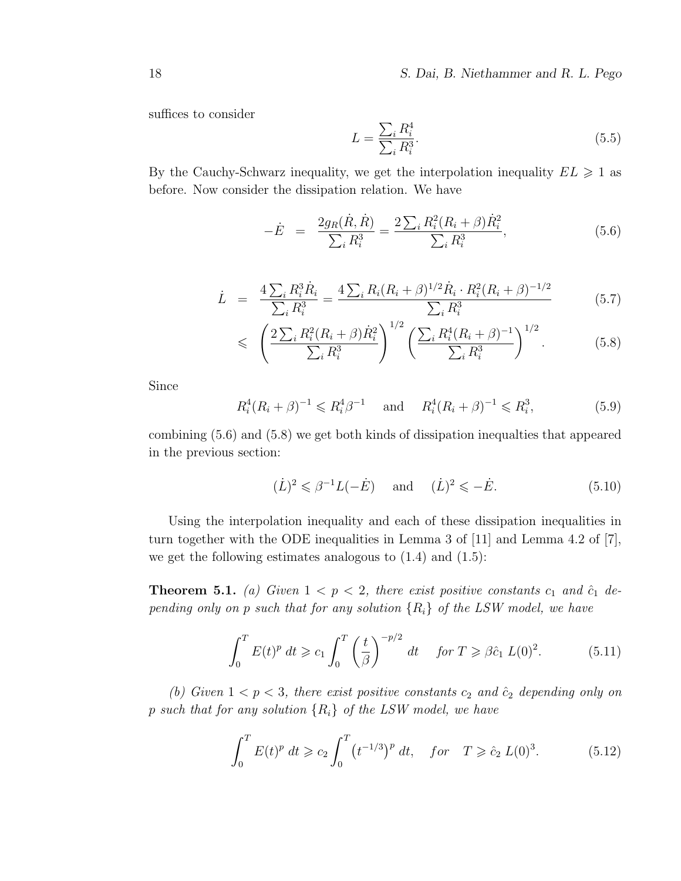suffices to consider

$$
L = \frac{\sum_{i} R_i^4}{\sum_{i} R_i^3}.\tag{5.5}
$$

By the Cauchy-Schwarz inequality, we get the interpolation inequality  $EL \geq 1$  as before. Now consider the dissipation relation. We have

$$
-\dot{E} = \frac{2g_R(\dot{R}, \dot{R})}{\sum_i R_i^3} = \frac{2\sum_i R_i^2 (R_i + \beta)\dot{R}_i^2}{\sum_i R_i^3},
$$
(5.6)

$$
\dot{L} = \frac{4\sum_{i} R_{i}^{3} \dot{R}_{i}}{\sum_{i} R_{i}^{3}} = \frac{4\sum_{i} R_{i} (R_{i} + \beta)^{1/2} \dot{R}_{i} \cdot R_{i}^{2} (R_{i} + \beta)^{-1/2}}{\sum_{i} R_{i}^{3}}
$$
(5.7)

$$
\leqslant \left(\frac{2\sum_{i}R_{i}^{2}(R_{i}+\beta)\dot{R}_{i}^{2}}{\sum_{i}R_{i}^{3}}\right)^{1/2}\left(\frac{\sum_{i}R_{i}^{4}(R_{i}+\beta)^{-1}}{\sum_{i}R_{i}^{3}}\right)^{1/2}.
$$
 (5.8)

Since

$$
R_i^4(R_i + \beta)^{-1} \leq R_i^4 \beta^{-1}
$$
 and  $R_i^4(R_i + \beta)^{-1} \leq R_i^3$ , (5.9)

combining (5.6) and (5.8) we get both kinds of dissipation inequalties that appeared in the previous section:

$$
(\dot{L})^2 \leq \beta^{-1} L(-\dot{E}) \quad \text{and} \quad (\dot{L})^2 \leq -\dot{E}.\tag{5.10}
$$

Using the interpolation inequality and each of these dissipation inequalities in turn together with the ODE inequalities in Lemma 3 of [11] and Lemma 4.2 of [7], we get the following estimates analogous to (1.4) and (1.5):

**Theorem 5.1.** (a) Given  $1 < p < 2$ , there exist positive constants  $c_1$  and  $\hat{c}_1$  depending only on p such that for any solution  $\{R_i\}$  of the LSW model, we have

$$
\int_0^T E(t)^p dt \geqslant c_1 \int_0^T \left(\frac{t}{\beta}\right)^{-p/2} dt \quad \text{for } T \geqslant \beta \hat{c}_1 L(0)^2. \tag{5.11}
$$

(b) Given  $1 < p < 3$ , there exist positive constants  $c_2$  and  $\hat{c}_2$  depending only on p such that for any solution  $\{R_i\}$  of the LSW model, we have

$$
\int_0^T E(t)^p dt \geqslant c_2 \int_0^T \left( t^{-1/3} \right)^p dt, \quad \text{for} \quad T \geqslant \hat{c}_2 \, L(0)^3. \tag{5.12}
$$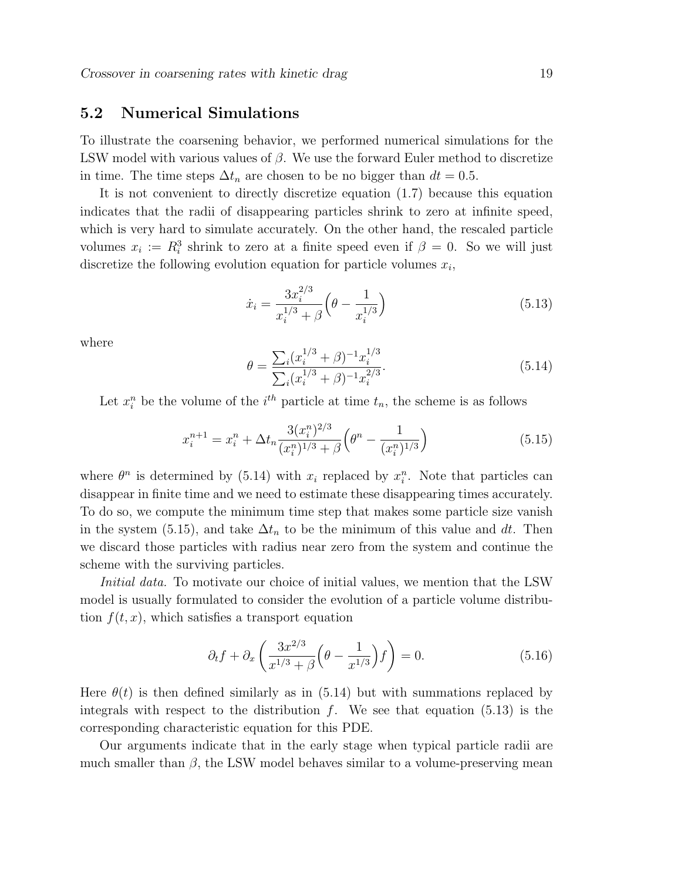#### 5.2 Numerical Simulations

To illustrate the coarsening behavior, we performed numerical simulations for the LSW model with various values of  $\beta$ . We use the forward Euler method to discretize in time. The time steps  $\Delta t_n$  are chosen to be no bigger than  $dt = 0.5$ .

It is not convenient to directly discretize equation (1.7) because this equation indicates that the radii of disappearing particles shrink to zero at infinite speed, which is very hard to simulate accurately. On the other hand, the rescaled particle volumes  $x_i := R_i^3$  shrink to zero at a finite speed even if  $\beta = 0$ . So we will just discretize the following evolution equation for particle volumes  $x_i$ ,

$$
\dot{x}_i = \frac{3x_i^{2/3}}{x_i^{1/3} + \beta} \left(\theta - \frac{1}{x_i^{1/3}}\right) \tag{5.13}
$$

where

$$
\theta = \frac{\sum_{i} (x_i^{1/3} + \beta)^{-1} x_i^{1/3}}{\sum_{i} (x_i^{1/3} + \beta)^{-1} x_i^{2/3}}.
$$
\n(5.14)

Let  $x_i^n$  be the volume of the  $i^{th}$  particle at time  $t_n$ , the scheme is as follows

$$
x_i^{n+1} = x_i^n + \Delta t_n \frac{3(x_i^n)^{2/3}}{(x_i^n)^{1/3} + \beta} \left(\theta^n - \frac{1}{(x_i^n)^{1/3}}\right)
$$
(5.15)

where  $\theta^n$  is determined by (5.14) with  $x_i$  replaced by  $x_i^n$ . Note that particles can disappear in finite time and we need to estimate these disappearing times accurately. To do so, we compute the minimum time step that makes some particle size vanish in the system (5.15), and take  $\Delta t_n$  to be the minimum of this value and dt. Then we discard those particles with radius near zero from the system and continue the scheme with the surviving particles.

Initial data. To motivate our choice of initial values, we mention that the LSW model is usually formulated to consider the evolution of a particle volume distribution  $f(t, x)$ , which satisfies a transport equation

$$
\partial_t f + \partial_x \left( \frac{3x^{2/3}}{x^{1/3} + \beta} \left( \theta - \frac{1}{x^{1/3}} \right) f \right) = 0. \tag{5.16}
$$

Here  $\theta(t)$  is then defined similarly as in (5.14) but with summations replaced by integrals with respect to the distribution  $f$ . We see that equation  $(5.13)$  is the corresponding characteristic equation for this PDE.

Our arguments indicate that in the early stage when typical particle radii are much smaller than  $\beta$ , the LSW model behaves similar to a volume-preserving mean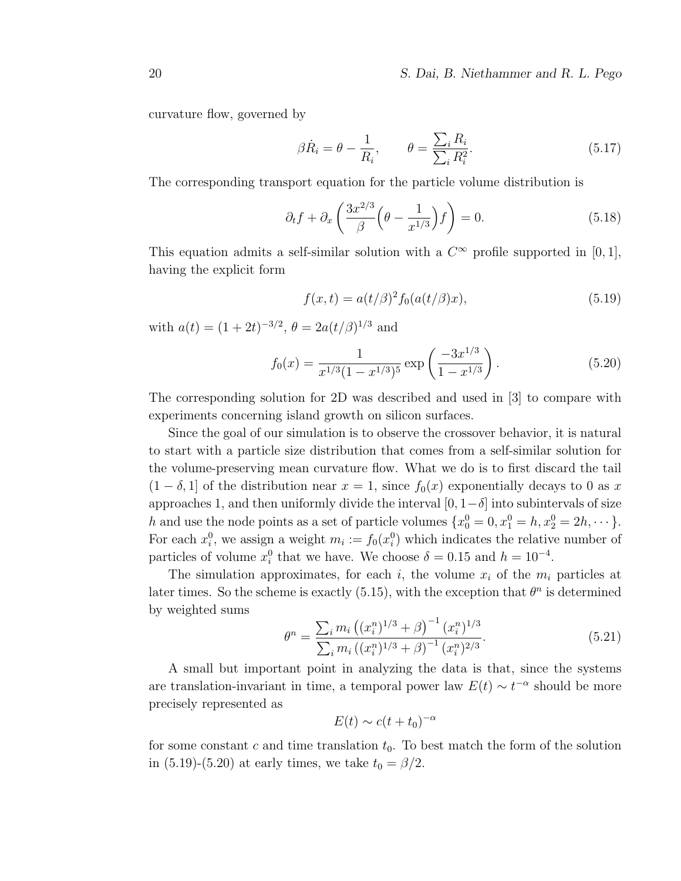curvature flow, governed by

$$
\beta \dot{R}_i = \theta - \frac{1}{R_i}, \qquad \theta = \frac{\sum_i R_i}{\sum_i R_i^2}.
$$
\n(5.17)

The corresponding transport equation for the particle volume distribution is

$$
\partial_t f + \partial_x \left( \frac{3x^{2/3}}{\beta} \left( \theta - \frac{1}{x^{1/3}} \right) f \right) = 0. \tag{5.18}
$$

This equation admits a self-similar solution with a  $C^{\infty}$  profile supported in [0, 1], having the explicit form

$$
f(x,t) = a(t/\beta)^2 f_0(a(t/\beta)x),
$$
\n(5.19)

with  $a(t) = (1+2t)^{-3/2}, \theta = 2a(t/\beta)^{1/3}$  and

$$
f_0(x) = \frac{1}{x^{1/3}(1 - x^{1/3})^5} \exp\left(\frac{-3x^{1/3}}{1 - x^{1/3}}\right). \tag{5.20}
$$

The corresponding solution for 2D was described and used in [3] to compare with experiments concerning island growth on silicon surfaces.

Since the goal of our simulation is to observe the crossover behavior, it is natural to start with a particle size distribution that comes from a self-similar solution for the volume-preserving mean curvature flow. What we do is to first discard the tail  $(1 - \delta, 1]$  of the distribution near  $x = 1$ , since  $f_0(x)$  exponentially decays to 0 as x approaches 1, and then uniformly divide the interval  $[0, 1-\delta]$  into subintervals of size h and use the node points as a set of particle volumes  $\{x_0^0 = 0, x_1^0 = h, x_2^0 = 2h, \dots\}$ . For each  $x_i^0$ , we assign a weight  $m_i := f_0(x_i^0)$  which indicates the relative number of particles of volume  $x_i^0$  that we have. We choose  $\delta = 0.15$  and  $h = 10^{-4}$ .

The simulation approximates, for each i, the volume  $x_i$  of the  $m_i$  particles at later times. So the scheme is exactly (5.15), with the exception that  $\theta^n$  is determined by weighted sums

$$
\theta^{n} = \frac{\sum_{i} m_{i} \left( (x_{i}^{n})^{1/3} + \beta \right)^{-1} (x_{i}^{n})^{1/3}}{\sum_{i} m_{i} \left( (x_{i}^{n})^{1/3} + \beta \right)^{-1} (x_{i}^{n})^{2/3}}.
$$
\n(5.21)

A small but important point in analyzing the data is that, since the systems are translation-invariant in time, a temporal power law  $E(t) \sim t^{-\alpha}$  should be more precisely represented as

$$
E(t) \sim c(t + t_0)^{-\alpha}
$$

for some constant c and time translation  $t_0$ . To best match the form of the solution in (5.19)-(5.20) at early times, we take  $t_0 = \beta/2$ .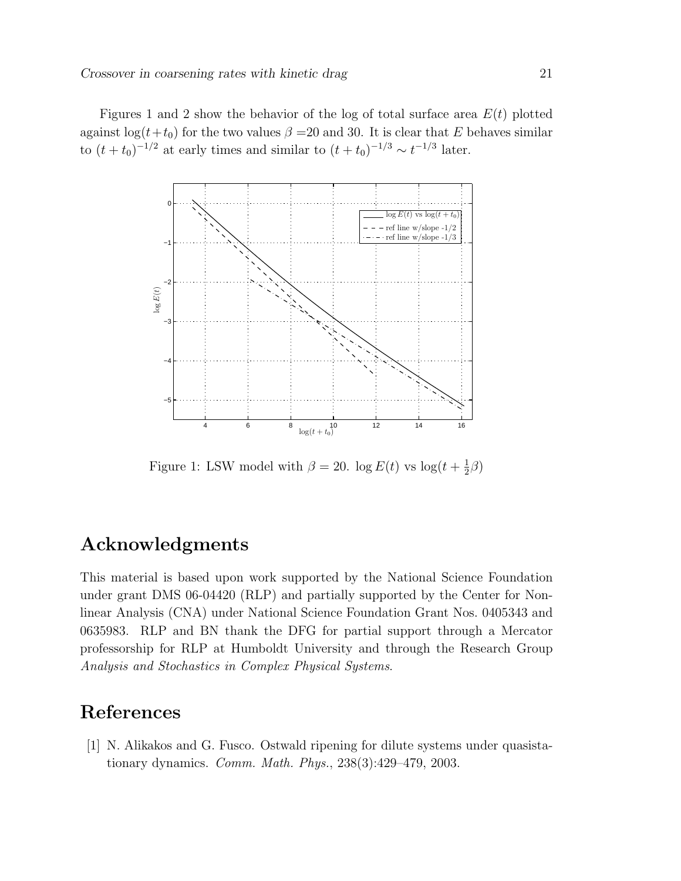Figures 1 and 2 show the behavior of the log of total surface area  $E(t)$  plotted against  $\log(t+t_0)$  for the two values  $\beta = 20$  and 30. It is clear that E behaves similar to  $(t+t_0)^{-1/2}$  at early times and similar to  $(t+t_0)^{-1/3} \sim t^{-1/3}$  later.



Figure 1: LSW model with  $\beta = 20$ . log  $E(t)$  vs log $(t + \frac{1}{2})$  $\frac{1}{2}\beta)$ 

## Acknowledgments

This material is based upon work supported by the National Science Foundation under grant DMS 06-04420 (RLP) and partially supported by the Center for Nonlinear Analysis (CNA) under National Science Foundation Grant Nos. 0405343 and 0635983. RLP and BN thank the DFG for partial support through a Mercator professorship for RLP at Humboldt University and through the Research Group Analysis and Stochastics in Complex Physical Systems.

## References

[1] N. Alikakos and G. Fusco. Ostwald ripening for dilute systems under quasistationary dynamics. Comm. Math. Phys., 238(3):429–479, 2003.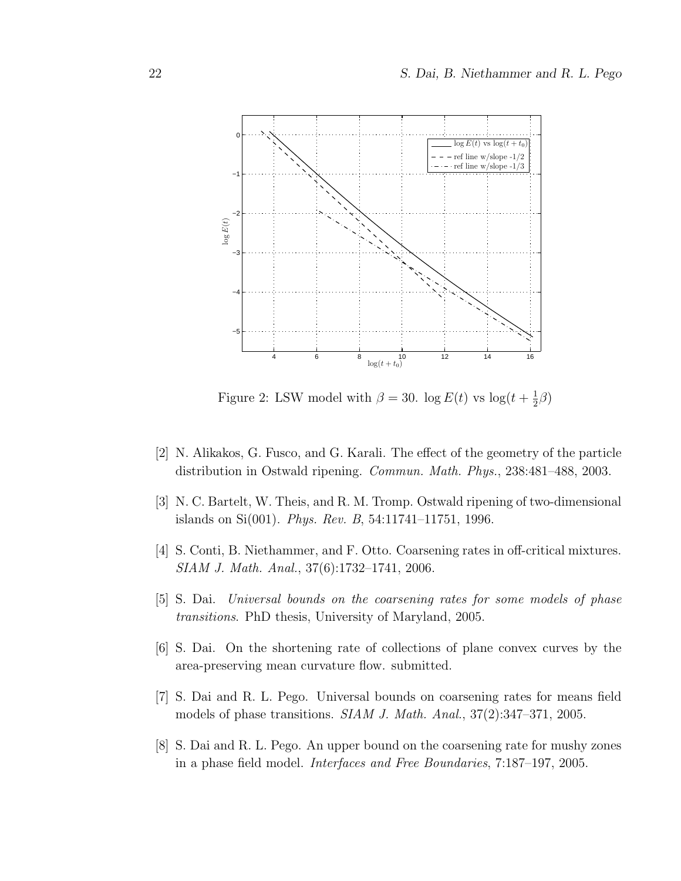

Figure 2: LSW model with  $\beta = 30$ . log  $E(t)$  vs log $(t + \frac{1}{2})$  $rac{1}{2}\beta)$ 

- [2] N. Alikakos, G. Fusco, and G. Karali. The effect of the geometry of the particle distribution in Ostwald ripening. Commun. Math. Phys., 238:481–488, 2003.
- [3] N. C. Bartelt, W. Theis, and R. M. Tromp. Ostwald ripening of two-dimensional islands on Si(001). Phys. Rev. B, 54:11741–11751, 1996.
- [4] S. Conti, B. Niethammer, and F. Otto. Coarsening rates in off-critical mixtures. SIAM J. Math. Anal., 37(6):1732–1741, 2006.
- [5] S. Dai. Universal bounds on the coarsening rates for some models of phase transitions. PhD thesis, University of Maryland, 2005.
- [6] S. Dai. On the shortening rate of collections of plane convex curves by the area-preserving mean curvature flow. submitted.
- [7] S. Dai and R. L. Pego. Universal bounds on coarsening rates for means field models of phase transitions. SIAM J. Math. Anal., 37(2):347–371, 2005.
- [8] S. Dai and R. L. Pego. An upper bound on the coarsening rate for mushy zones in a phase field model. Interfaces and Free Boundaries, 7:187–197, 2005.